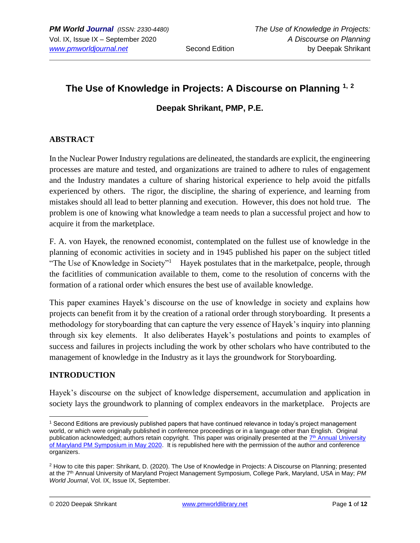# **The Use of Knowledge in Projects: A Discourse on Planning 1, <sup>2</sup>**

### **Deepak Shrikant, PMP, P.E.**

### **ABSTRACT**

In the Nuclear Power Industry regulations are delineated, the standards are explicit, the engineering processes are mature and tested, and organizations are trained to adhere to rules of engagement and the Industry mandates a culture of sharing historical experience to help avoid the pitfalls experienced by others. The rigor, the discipline, the sharing of experience, and learning from mistakes should all lead to better planning and execution. However, this does not hold true. The problem is one of knowing what knowledge a team needs to plan a successful project and how to acquire it from the marketplace.

F. A. von Hayek, the renowned economist, contemplated on the fullest use of knowledge in the planning of economic activities in society and in 1945 published his paper on the subject titled "The Use of Knowledge in Society"<sup>1</sup> Hayek postulates that in the marketpalce, people, through the facitlities of communication available to them, come to the resolution of concerns with the formation of a rational order which ensures the best use of available knowledge.

This paper examines Hayek's discourse on the use of knowledge in society and explains how projects can benefit from it by the creation of a rational order through storyboarding. It presents a methodology for storyboarding that can capture the very essence of Hayek's inquiry into planning through six key elements. It also deliberates Hayek's postulations and points to examples of success and failures in projects including the work by other scholars who have contributed to the management of knowledge in the Industry as it lays the groundwork for Storyboarding.

## **INTRODUCTION**

Hayek's discourse on the subject of knowledge dispersement, accumulation and application in society lays the groundwork to planning of complex endeavors in the marketplace. Projects are

<sup>1</sup> Second Editions are previously published papers that have continued relevance in today's project management world, or which were originally published in conference proceedings or in a language other than English. Original publication acknowledged; authors retain copyright. This paper was originally presented at the T<sup>th</sup> Annual University [of Maryland PM Symposium in May 2020.](https://pmsymposium.umd.edu/pm2020/) It is republished here with the permission of the author and conference organizers.

<sup>2</sup> How to cite this paper: Shrikant, D. (2020). The Use of Knowledge in Projects: A Discourse on Planning; presented at the 7th Annual University of Maryland Project Management Symposium, College Park, Maryland, USA in May; *PM World Journal*, Vol. IX, Issue IX, September.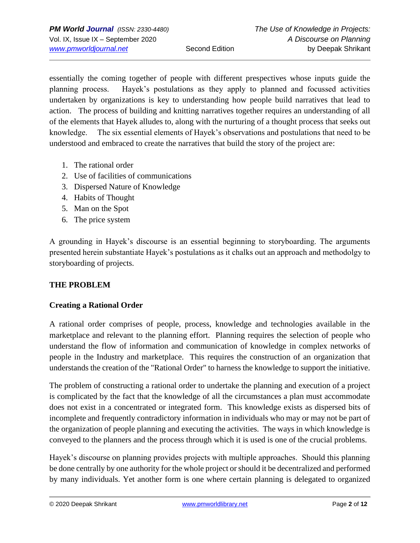essentially the coming together of people with different prespectives whose inputs guide the planning process. Hayek's postulations as they apply to planned and focussed activities undertaken by organizations is key to understanding how people build narratives that lead to action. The process of building and knitting narratives together requires an understanding of all of the elements that Hayek alludes to, along with the nurturing of a thought process that seeks out knowledge. The six essential elements of Hayek's observations and postulations that need to be understood and embraced to create the narratives that build the story of the project are:

- 1. The rational order
- 2. Use of facilities of communications
- 3. Dispersed Nature of Knowledge
- 4. Habits of Thought
- 5. Man on the Spot
- 6. The price system

A grounding in Hayek's discourse is an essential beginning to storyboarding. The arguments presented herein substantiate Hayek's postulations as it chalks out an approach and methodolgy to storyboarding of projects.

## **THE PROBLEM**

## **Creating a Rational Order**

A rational order comprises of people, process, knowledge and technologies available in the marketplace and relevant to the planning effort. Planning requires the selection of people who understand the flow of information and communication of knowledge in complex networks of people in the Industry and marketplace. This requires the construction of an organization that understands the creation of the "Rational Order" to harness the knowledge to support the initiative.

The problem of constructing a rational order to undertake the planning and execution of a project is complicated by the fact that the knowledge of all the circumstances a plan must accommodate does not exist in a concentrated or integrated form. This knowledge exists as dispersed bits of incomplete and frequently contradictory information in individuals who may or may not be part of the organization of people planning and executing the activities. The ways in which knowledge is conveyed to the planners and the process through which it is used is one of the crucial problems.

Hayek's discourse on planning provides projects with multiple approaches. Should this planning be done centrally by one authority for the whole project or should it be decentralized and performed by many individuals. Yet another form is one where certain planning is delegated to organized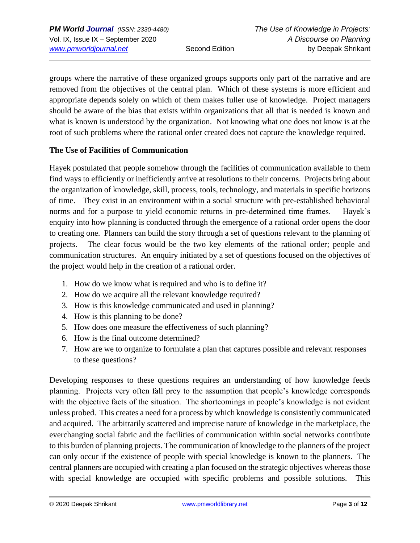groups where the narrative of these organized groups supports only part of the narrative and are removed from the objectives of the central plan. Which of these systems is more efficient and appropriate depends solely on which of them makes fuller use of knowledge. Project managers should be aware of the bias that exists within organizations that all that is needed is known and what is known is understood by the organization. Not knowing what one does not know is at the root of such problems where the rational order created does not capture the knowledge required.

### **The Use of Facilities of Communication**

Hayek postulated that people somehow through the facilities of communication available to them find ways to efficiently or inefficiently arrive at resolutions to their concerns. Projects bring about the organization of knowledge, skill, process, tools, technology, and materials in specific horizons of time. They exist in an environment within a social structure with pre-established behavioral norms and for a purpose to yield economic returns in pre-determined time frames. Hayek's enquiry into how planning is conducted through the emergence of a rational order opens the door to creating one. Planners can build the story through a set of questions relevant to the planning of projects. The clear focus would be the two key elements of the rational order; people and communication structures. An enquiry initiated by a set of questions focused on the objectives of the project would help in the creation of a rational order.

- 1. How do we know what is required and who is to define it?
- 2. How do we acquire all the relevant knowledge required?
- 3. How is this knowledge communicated and used in planning?
- 4. How is this planning to be done?
- 5. How does one measure the effectiveness of such planning?
- 6. How is the final outcome determined?
- 7. How are we to organize to formulate a plan that captures possible and relevant responses to these questions?

Developing responses to these questions requires an understanding of how knowledge feeds planning. Projects very often fall prey to the assumption that people's knowledge corresponds with the objective facts of the situation. The shortcomings in people's knowledge is not evident unless probed. This creates a need for a process by which knowledge is consistently communicated and acquired. The arbitrarily scattered and imprecise nature of knowledge in the marketplace, the everchanging social fabric and the facilities of communication within social networks contribute to this burden of planning projects. The communication of knowledge to the planners of the project can only occur if the existence of people with special knowledge is known to the planners. The central planners are occupied with creating a plan focused on the strategic objectives whereas those with special knowledge are occupied with specific problems and possible solutions. This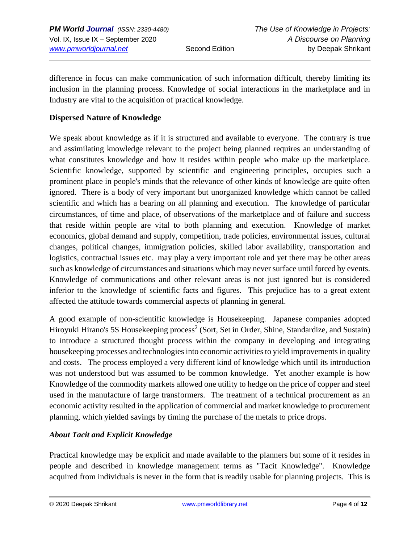difference in focus can make communication of such information difficult, thereby limiting its inclusion in the planning process. Knowledge of social interactions in the marketplace and in Industry are vital to the acquisition of practical knowledge.

### **Dispersed Nature of Knowledge**

We speak about knowledge as if it is structured and available to everyone. The contrary is true and assimilating knowledge relevant to the project being planned requires an understanding of what constitutes knowledge and how it resides within people who make up the marketplace. Scientific knowledge, supported by scientific and engineering principles, occupies such a prominent place in people's minds that the relevance of other kinds of knowledge are quite often ignored. There is a body of very important but unorganized knowledge which cannot be called scientific and which has a bearing on all planning and execution. The knowledge of particular circumstances, of time and place, of observations of the marketplace and of failure and success that reside within people are vital to both planning and execution. Knowledge of market economics, global demand and supply, competition, trade policies, environmental issues, cultural changes, political changes, immigration policies, skilled labor availability, transportation and logistics, contractual issues etc. may play a very important role and yet there may be other areas such as knowledge of circumstances and situations which may never surface until forced by events. Knowledge of communications and other relevant areas is not just ignored but is considered inferior to the knowledge of scientific facts and figures. This prejudice has to a great extent affected the attitude towards commercial aspects of planning in general.

A good example of non-scientific knowledge is Housekeeping. Japanese companies adopted Hiroyuki Hirano's 5S Housekeeping process<sup>2</sup> (Sort, Set in Order, Shine, Standardize, and Sustain) to introduce a structured thought process within the company in developing and integrating housekeeping processes and technologies into economic activities to yield improvements in quality and costs. The process employed a very different kind of knowledge which until its introduction was not understood but was assumed to be common knowledge. Yet another example is how Knowledge of the commodity markets allowed one utility to hedge on the price of copper and steel used in the manufacture of large transformers. The treatment of a technical procurement as an economic activity resulted in the application of commercial and market knowledge to procurement planning, which yielded savings by timing the purchase of the metals to price drops.

### *About Tacit and Explicit Knowledge*

Practical knowledge may be explicit and made available to the planners but some of it resides in people and described in knowledge management terms as "Tacit Knowledge". Knowledge acquired from individuals is never in the form that is readily usable for planning projects. This is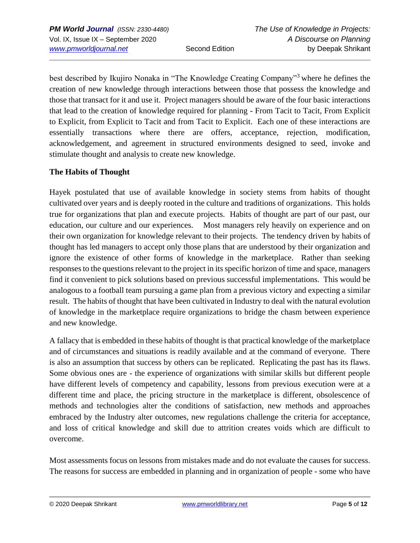best described by Ikujiro Nonaka in "The Knowledge Creating Company"<sup>3</sup> where he defines the creation of new knowledge through interactions between those that possess the knowledge and those that transact for it and use it. Project managers should be aware of the four basic interactions that lead to the creation of knowledge required for planning - From Tacit to Tacit, From Explicit to Explicit, from Explicit to Tacit and from Tacit to Explicit. Each one of these interactions are essentially transactions where there are offers, acceptance, rejection, modification, acknowledgement, and agreement in structured environments designed to seed, invoke and stimulate thought and analysis to create new knowledge.

### **The Habits of Thought**

Hayek postulated that use of available knowledge in society stems from habits of thought cultivated over years and is deeply rooted in the culture and traditions of organizations. This holds true for organizations that plan and execute projects. Habits of thought are part of our past, our education, our culture and our experiences. Most managers rely heavily on experience and on their own organization for knowledge relevant to their projects. The tendency driven by habits of thought has led managers to accept only those plans that are understood by their organization and ignore the existence of other forms of knowledge in the marketplace. Rather than seeking responses to the questions relevant to the project in its specific horizon of time and space, managers find it convenient to pick solutions based on previous successful implementations. This would be analogous to a football team pursuing a game plan from a previous victory and expecting a similar result. The habits of thought that have been cultivated in Industry to deal with the natural evolution of knowledge in the marketplace require organizations to bridge the chasm between experience and new knowledge.

A fallacy that is embedded in these habits of thought is that practical knowledge of the marketplace and of circumstances and situations is readily available and at the command of everyone. There is also an assumption that success by others can be replicated. Replicating the past has its flaws. Some obvious ones are - the experience of organizations with similar skills but different people have different levels of competency and capability, lessons from previous execution were at a different time and place, the pricing structure in the marketplace is different, obsolescence of methods and technologies alter the conditions of satisfaction, new methods and approaches embraced by the Industry alter outcomes, new regulations challenge the criteria for acceptance, and loss of critical knowledge and skill due to attrition creates voids which are difficult to overcome.

Most assessments focus on lessons from mistakes made and do not evaluate the causes for success. The reasons for success are embedded in planning and in organization of people - some who have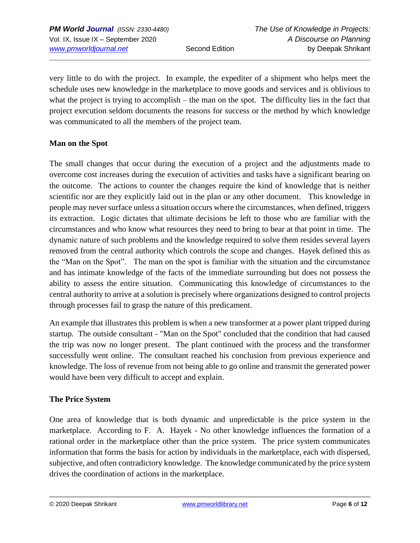very little to do with the project. In example, the expediter of a shipment who helps meet the schedule uses new knowledge in the marketplace to move goods and services and is oblivious to what the project is trying to accomplish – the man on the spot. The difficulty lies in the fact that project execution seldom documents the reasons for success or the method by which knowledge was communicated to all the members of the project team.

## **Man on the Spot**

The small changes that occur during the execution of a project and the adjustments made to overcome cost increases during the execution of activities and tasks have a significant bearing on the outcome. The actions to counter the changes require the kind of knowledge that is neither scientific nor are they explicitly laid out in the plan or any other document. This knowledge in people may never surface unless a situation occurs where the circumstances, when defined, triggers its extraction. Logic dictates that ultimate decisions be left to those who are familiar with the circumstances and who know what resources they need to bring to bear at that point in time. The dynamic nature of such problems and the knowledge required to solve them resides several layers removed from the central authority which controls the scope and changes. Hayek defined this as the "Man on the Spot". The man on the spot is familiar with the situation and the circumstance and has intimate knowledge of the facts of the immediate surrounding but does not possess the ability to assess the entire situation. Communicating this knowledge of circumstances to the central authority to arrive at a solution is precisely where organizations designed to control projects through processes fail to grasp the nature of this predicament.

An example that illustrates this problem is when a new transformer at a power plant tripped during startup. The outside consultant - "Man on the Spot" concluded that the condition that had caused the trip was now no longer present. The plant continued with the process and the transformer successfully went online. The consultant reached his conclusion from previous experience and knowledge. The loss of revenue from not being able to go online and transmit the generated power would have been very difficult to accept and explain.

### **The Price System**

One area of knowledge that is both dynamic and unpredictable is the price system in the marketplace. According to F. A. Hayek - No other knowledge influences the formation of a rational order in the marketplace other than the price system. The price system communicates information that forms the basis for action by individuals in the marketplace, each with dispersed, subjective, and often contradictory knowledge. The knowledge communicated by the price system drives the coordination of actions in the marketplace.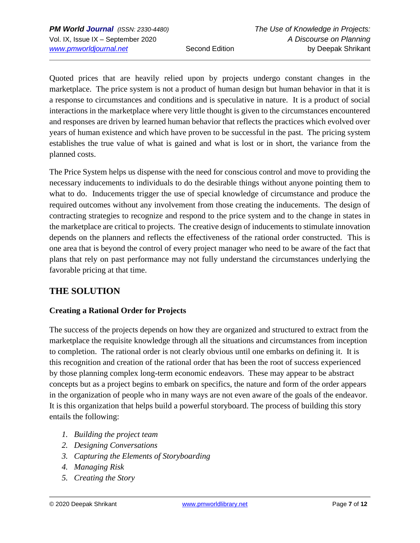Quoted prices that are heavily relied upon by projects undergo constant changes in the marketplace. The price system is not a product of human design but human behavior in that it is a response to circumstances and conditions and is speculative in nature. It is a product of social interactions in the marketplace where very little thought is given to the circumstances encountered and responses are driven by learned human behavior that reflects the practices which evolved over years of human existence and which have proven to be successful in the past. The pricing system establishes the true value of what is gained and what is lost or in short, the variance from the planned costs.

The Price System helps us dispense with the need for conscious control and move to providing the necessary inducements to individuals to do the desirable things without anyone pointing them to what to do. Inducements trigger the use of special knowledge of circumstance and produce the required outcomes without any involvement from those creating the inducements. The design of contracting strategies to recognize and respond to the price system and to the change in states in the marketplace are critical to projects. The creative design of inducements to stimulate innovation depends on the planners and reflects the effectiveness of the rational order constructed. This is one area that is beyond the control of every project manager who need to be aware of the fact that plans that rely on past performance may not fully understand the circumstances underlying the favorable pricing at that time.

## **THE SOLUTION**

## **Creating a Rational Order for Projects**

The success of the projects depends on how they are organized and structured to extract from the marketplace the requisite knowledge through all the situations and circumstances from inception to completion. The rational order is not clearly obvious until one embarks on defining it. It is this recognition and creation of the rational order that has been the root of success experienced by those planning complex long-term economic endeavors. These may appear to be abstract concepts but as a project begins to embark on specifics, the nature and form of the order appears in the organization of people who in many ways are not even aware of the goals of the endeavor. It is this organization that helps build a powerful storyboard. The process of building this story entails the following:

- *1. Building the project team*
- *2. Designing Conversations*
- *3. Capturing the Elements of Storyboarding*
- *4. Managing Risk*
- *5. Creating the Story*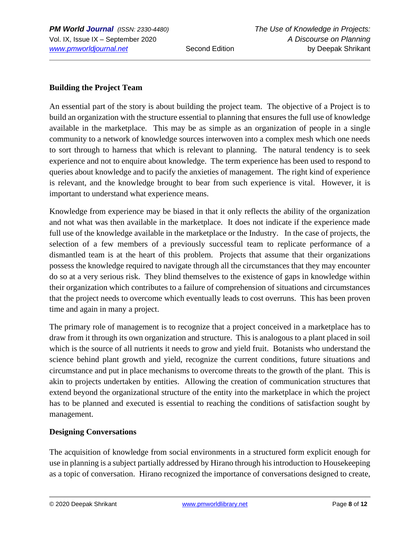## **Building the Project Team**

An essential part of the story is about building the project team. The objective of a Project is to build an organization with the structure essential to planning that ensures the full use of knowledge available in the marketplace. This may be as simple as an organization of people in a single community to a network of knowledge sources interwoven into a complex mesh which one needs to sort through to harness that which is relevant to planning. The natural tendency is to seek experience and not to enquire about knowledge. The term experience has been used to respond to queries about knowledge and to pacify the anxieties of management. The right kind of experience is relevant, and the knowledge brought to bear from such experience is vital. However, it is important to understand what experience means.

Knowledge from experience may be biased in that it only reflects the ability of the organization and not what was then available in the marketplace. It does not indicate if the experience made full use of the knowledge available in the marketplace or the Industry. In the case of projects, the selection of a few members of a previously successful team to replicate performance of a dismantled team is at the heart of this problem. Projects that assume that their organizations possess the knowledge required to navigate through all the circumstances that they may encounter do so at a very serious risk. They blind themselves to the existence of gaps in knowledge within their organization which contributes to a failure of comprehension of situations and circumstances that the project needs to overcome which eventually leads to cost overruns. This has been proven time and again in many a project.

The primary role of management is to recognize that a project conceived in a marketplace has to draw from it through its own organization and structure. This is analogous to a plant placed in soil which is the source of all nutrients it needs to grow and yield fruit. Botanists who understand the science behind plant growth and yield, recognize the current conditions, future situations and circumstance and put in place mechanisms to overcome threats to the growth of the plant. This is akin to projects undertaken by entities. Allowing the creation of communication structures that extend beyond the organizational structure of the entity into the marketplace in which the project has to be planned and executed is essential to reaching the conditions of satisfaction sought by management.

## **Designing Conversations**

The acquisition of knowledge from social environments in a structured form explicit enough for use in planning is a subject partially addressed by Hirano through his introduction to Housekeeping as a topic of conversation. Hirano recognized the importance of conversations designed to create,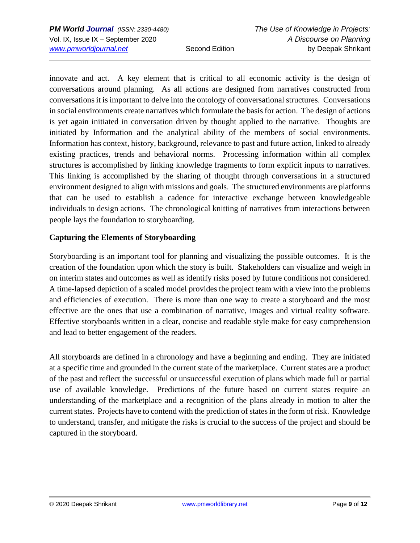innovate and act. A key element that is critical to all economic activity is the design of conversations around planning. As all actions are designed from narratives constructed from conversations it is important to delve into the ontology of conversational structures. Conversations in social environments create narratives which formulate the basis for action. The design of actions is yet again initiated in conversation driven by thought applied to the narrative. Thoughts are initiated by Information and the analytical ability of the members of social environments. Information has context, history, background, relevance to past and future action, linked to already existing practices, trends and behavioral norms. Processing information within all complex structures is accomplished by linking knowledge fragments to form explicit inputs to narratives. This linking is accomplished by the sharing of thought through conversations in a structured environment designed to align with missions and goals. The structured environments are platforms that can be used to establish a cadence for interactive exchange between knowledgeable individuals to design actions. The chronological knitting of narratives from interactions between people lays the foundation to storyboarding.

## **Capturing the Elements of Storyboarding**

Storyboarding is an important tool for planning and visualizing the possible outcomes. It is the creation of the foundation upon which the story is built. Stakeholders can visualize and weigh in on interim states and outcomes as well as identify risks posed by future conditions not considered. A time-lapsed depiction of a scaled model provides the project team with a view into the problems and efficiencies of execution. There is more than one way to create a storyboard and the most effective are the ones that use a combination of narrative, images and virtual reality software. Effective storyboards written in a clear, concise and readable style make for easy comprehension and lead to better engagement of the readers.

All storyboards are defined in a chronology and have a beginning and ending. They are initiated at a specific time and grounded in the current state of the marketplace. Current states are a product of the past and reflect the successful or unsuccessful execution of plans which made full or partial use of available knowledge. Predictions of the future based on current states require an understanding of the marketplace and a recognition of the plans already in motion to alter the current states. Projects have to contend with the prediction of states in the form of risk. Knowledge to understand, transfer, and mitigate the risks is crucial to the success of the project and should be captured in the storyboard.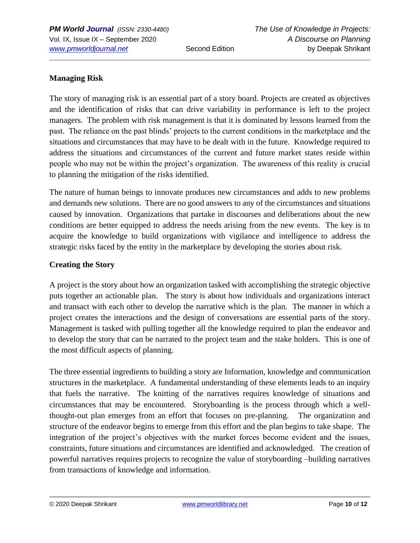## **Managing Risk**

The story of managing risk is an essential part of a story board. Projects are created as objectives and the identification of risks that can drive variability in performance is left to the project managers. The problem with risk management is that it is dominated by lessons learned from the past. The reliance on the past blinds' projects to the current conditions in the marketplace and the situations and circumstances that may have to be dealt with in the future. Knowledge required to address the situations and circumstances of the current and future market states reside within people who may not be within the project's organization. The awareness of this reality is crucial to planning the mitigation of the risks identified.

The nature of human beings to innovate produces new circumstances and adds to new problems and demands new solutions. There are no good answers to any of the circumstances and situations caused by innovation. Organizations that partake in discourses and deliberations about the new conditions are better equipped to address the needs arising from the new events. The key is to acquire the knowledge to build organizations with vigilance and intelligence to address the strategic risks faced by the entity in the marketplace by developing the stories about risk.

### **Creating the Story**

A project is the story about how an organization tasked with accomplishing the strategic objective puts together an actionable plan. The story is about how individuals and organizations interact and transact with each other to develop the narrative which is the plan. The manner in which a project creates the interactions and the design of conversations are essential parts of the story. Management is tasked with pulling together all the knowledge required to plan the endeavor and to develop the story that can be narrated to the project team and the stake holders. This is one of the most difficult aspects of planning.

The three essential ingredients to building a story are Information, knowledge and communication structures in the marketplace. A fundamental understanding of these elements leads to an inquiry that fuels the narrative. The knitting of the narratives requires knowledge of situations and circumstances that may be encountered. Storyboarding is the process through which a wellthought-out plan emerges from an effort that focuses on pre-planning. The organization and structure of the endeavor begins to emerge from this effort and the plan begins to take shape. The integration of the project's objectives with the market forces become evident and the issues, constraints, future situations and circumstances are identified and acknowledged. The creation of powerful narratives requires projects to recognize the value of storyboarding –building narratives from transactions of knowledge and information.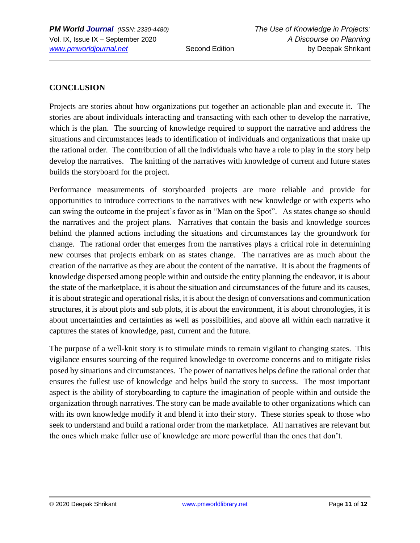## **CONCLUSION**

Projects are stories about how organizations put together an actionable plan and execute it. The stories are about individuals interacting and transacting with each other to develop the narrative, which is the plan. The sourcing of knowledge required to support the narrative and address the situations and circumstances leads to identification of individuals and organizations that make up the rational order. The contribution of all the individuals who have a role to play in the story help develop the narratives. The knitting of the narratives with knowledge of current and future states builds the storyboard for the project.

Performance measurements of storyboarded projects are more reliable and provide for opportunities to introduce corrections to the narratives with new knowledge or with experts who can swing the outcome in the project's favor as in "Man on the Spot". As states change so should the narratives and the project plans. Narratives that contain the basis and knowledge sources behind the planned actions including the situations and circumstances lay the groundwork for change. The rational order that emerges from the narratives plays a critical role in determining new courses that projects embark on as states change. The narratives are as much about the creation of the narrative as they are about the content of the narrative. It is about the fragments of knowledge dispersed among people within and outside the entity planning the endeavor, it is about the state of the marketplace, it is about the situation and circumstances of the future and its causes, it is about strategic and operational risks, it is about the design of conversations and communication structures, it is about plots and sub plots, it is about the environment, it is about chronologies, it is about uncertainties and certainties as well as possibilities, and above all within each narrative it captures the states of knowledge, past, current and the future.

The purpose of a well-knit story is to stimulate minds to remain vigilant to changing states. This vigilance ensures sourcing of the required knowledge to overcome concerns and to mitigate risks posed by situations and circumstances. The power of narratives helps define the rational order that ensures the fullest use of knowledge and helps build the story to success. The most important aspect is the ability of storyboarding to capture the imagination of people within and outside the organization through narratives. The story can be made available to other organizations which can with its own knowledge modify it and blend it into their story. These stories speak to those who seek to understand and build a rational order from the marketplace. All narratives are relevant but the ones which make fuller use of knowledge are more powerful than the ones that don't.